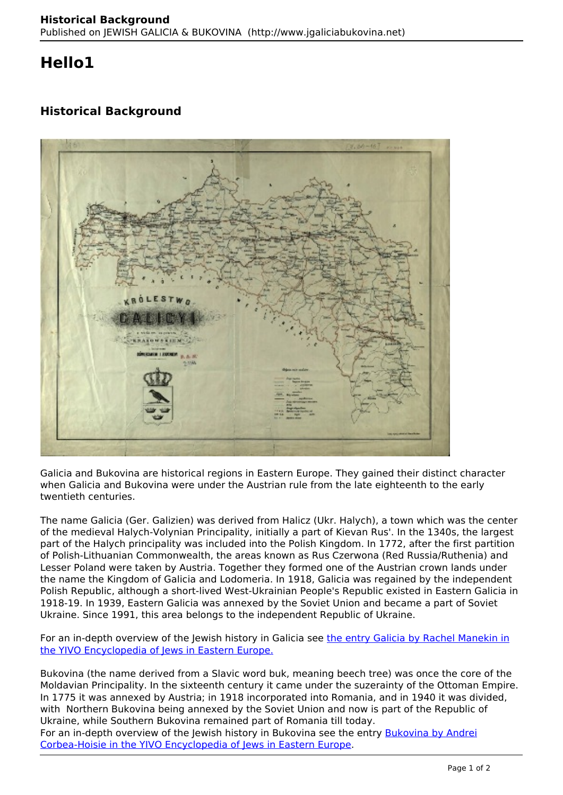## **Hello1**

## **Historical Background**



Galicia and Bukovina are historical regions in Eastern Europe. They gained their distinct character when Galicia and Bukovina were under the Austrian rule from the late eighteenth to the early twentieth centuries.

The name Galicia (Ger. Galizien) was derived from Halicz (Ukr. Halych), a town which was the center of the medieval Halych-Volynian Principality, initially a part of Kievan Rus'. In the 1340s, the largest part of the Halych principality was included into the Polish Kingdom. In 1772, after the first partition of Polish-Lithuanian Commonwealth, the areas known as Rus Czerwona (Red Russia/Ruthenia) and Lesser Poland were taken by Austria. Together they formed one of the Austrian crown lands under the name the Kingdom of Galicia and Lodomeria. In 1918, Galicia was regained by the independent Polish Republic, although a short-lived West-Ukrainian People's Republic existed in Eastern Galicia in 1918-19. In 1939, Eastern Galicia was annexed by the Soviet Union and became a part of Soviet Ukraine. Since 1991, this area belongs to the independent Republic of Ukraine.

For an in-depth overview of the Jewish history in Galicia see the entry Galicia by Rachel Manekin in the YIVO Encyclopedia of Jews in Eastern Europe.

Bukovina (the name derived from a Slavic word buk, meaning beech tree) was once the core of the Moldavian Principality. In the sixteenth century it came under the suzerainty of the Ottoman Empire. In 1775 it was annexed by Austria; in 1918 incorporated into Romania, and in 1940 it was divided, with Northern Bukovina being annexed by the Soviet Union and now is part of the Republic of Ukraine, while Southern Bukovina remained part of Romania till today.

For an in-depth overview of the Jewish history in Bukovina see the entry Bukovina by Andrei Corbea-Hoisie in the YIVO Encyclopedia of Jews in Eastern Europe.